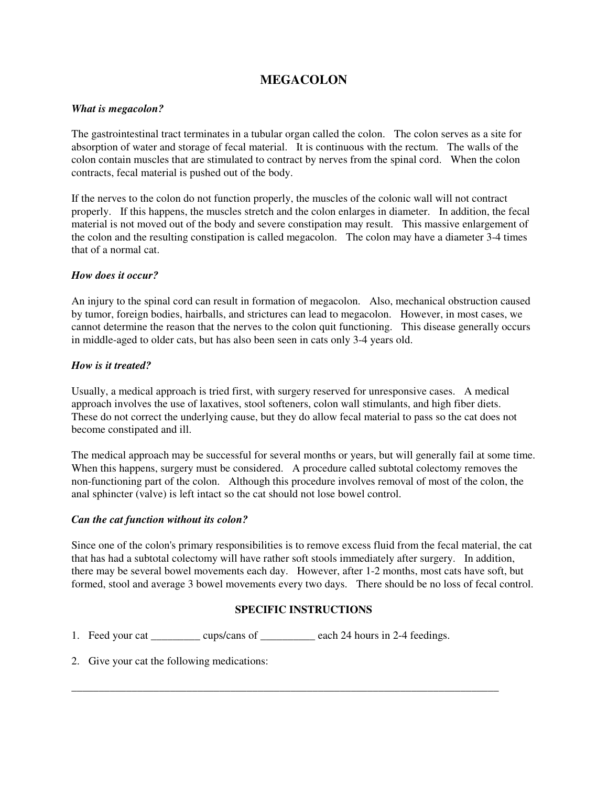# **MEGACOLON**

# *What is megacolon?*

The gastrointestinal tract terminates in a tubular organ called the colon. The colon serves as a site for absorption of water and storage of fecal material. It is continuous with the rectum. The walls of the colon contain muscles that are stimulated to contract by nerves from the spinal cord. When the colon contracts, fecal material is pushed out of the body.

If the nerves to the colon do not function properly, the muscles of the colonic wall will not contract properly. If this happens, the muscles stretch and the colon enlarges in diameter. In addition, the fecal material is not moved out of the body and severe constipation may result. This massive enlargement of the colon and the resulting constipation is called megacolon. The colon may have a diameter 3-4 times that of a normal cat.

# *How does it occur?*

An injury to the spinal cord can result in formation of megacolon. Also, mechanical obstruction caused by tumor, foreign bodies, hairballs, and strictures can lead to megacolon. However, in most cases, we cannot determine the reason that the nerves to the colon quit functioning. This disease generally occurs in middle-aged to older cats, but has also been seen in cats only 3-4 years old.

### *How is it treated?*

Usually, a medical approach is tried first, with surgery reserved for unresponsive cases. A medical approach involves the use of laxatives, stool softeners, colon wall stimulants, and high fiber diets. These do not correct the underlying cause, but they do allow fecal material to pass so the cat does not become constipated and ill.

The medical approach may be successful for several months or years, but will generally fail at some time. When this happens, surgery must be considered. A procedure called subtotal colectomy removes the non-functioning part of the colon. Although this procedure involves removal of most of the colon, the anal sphincter (valve) is left intact so the cat should not lose bowel control.

#### *Can the cat function without its colon?*

Since one of the colon's primary responsibilities is to remove excess fluid from the fecal material, the cat that has had a subtotal colectomy will have rather soft stools immediately after surgery. In addition, there may be several bowel movements each day. However, after 1-2 months, most cats have soft, but formed, stool and average 3 bowel movements every two days. There should be no loss of fecal control.

# **SPECIFIC INSTRUCTIONS**

\_\_\_\_\_\_\_\_\_\_\_\_\_\_\_\_\_\_\_\_\_\_\_\_\_\_\_\_\_\_\_\_\_\_\_\_\_\_\_\_\_\_\_\_\_\_\_\_\_\_\_\_\_\_\_\_\_\_\_\_\_\_\_\_\_\_\_\_\_\_\_\_\_\_\_\_\_\_

- 1. Feed your cat cups/cans of each 24 hours in 2-4 feedings.
- 2. Give your cat the following medications: